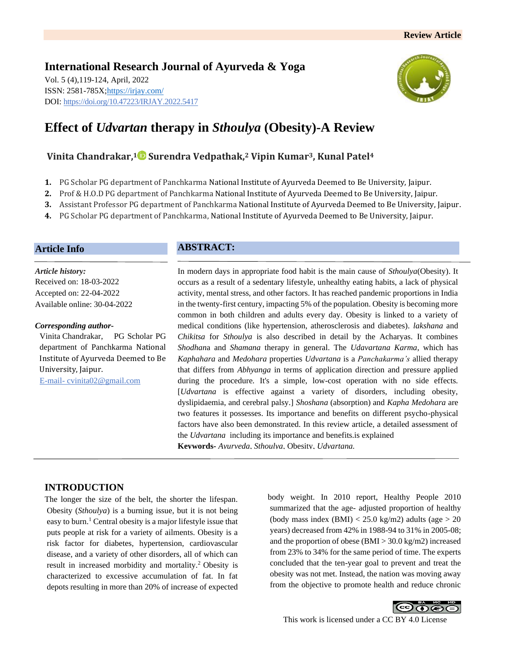## **International Research Journal of Ayurveda & Yoga** Vol. 5 (4),119-124, April, 2022 ISSN: 2581-785X[; https://irjay.com/](https://irjay.com/) DOI: https://doi.org/10.47223/IRJAY.2022.5417



# **Effect of** *Udvartan* **therapy in** *Sthoulya* **(Obesity)-A Review**

# **Vinita Chandrakar, <sup>1</sup> Surendra Vedpathak,<sup>2</sup> Vipin Kumar3, Kunal Patel<sup>4</sup>**

- **1.** PG Scholar PG department of Panchkarma National Institute of Ayurveda Deemed to Be University, Jaipur.
- **2.** Prof & H.O.D PG department of Panchkarma National Institute of Ayurveda Deemed to Be University, Jaipur.
- **3.** Assistant Professor PG department of Panchkarma National Institute of Ayurveda Deemed to Be University, Jaipur.
- **4.** PG Scholar PG department of Panchkarma, National Institute of Ayurveda Deemed to Be University, Jaipur.

#### **Article Info**

*Article history:* Received on: 18-03-2022 Accepted on: 22-04-2022 Available online: 30-04-2022

#### *Corresponding author-*

Vinita Chandrakar, PG Scholar PG department of Panchkarma National Institute of Ayurveda Deemed to Be University, Jaipur. E-mail- cvinita02@gmail.com

# **ABSTRACT:**

In modern days in appropriate food habit is the main cause of *Sthoulya*(Obesity). It occurs as a result of a sedentary lifestyle, unhealthy eating habits, a lack of physical activity, mental stress, and other factors. It has reached pandemic proportions in India in the twenty-first century, impacting 5% of the population. Obesity is becoming more common in both children and adults every day. Obesity is linked to a variety of medical conditions (like hypertension, atherosclerosis and diabetes). *lakshana* and *Chikitsa* for *Sthoulya* is also described in detail by the Acharyas. It combines *Shodhan*a and *Shamana* therapy in general. The *Udavartana Karma*, which has *Kaphahara* and *Medohara* properties *Udvartana* is a *Panchakarma's* allied therapy that differs from *Abhyanga* in terms of application direction and pressure applied during the procedure. It's a simple, low-cost operation with no side effects*.*  [*Udvartana* is effective against a variety of disorders, including obesity, dyslipidaemia, and cerebral palsy.] *Shoshana* (absorption) and *Kapha Medohara* are two features it possesses. Its importance and benefits on different psycho-physical factors have also been demonstrated. In this review article, a detailed assessment of the *Udvartana* including its importance and benefits.is explained **Keywords-** *Ayurveda, Sthoulya,* Obesity, *Udvartana.*

## **INTRODUCTION**

The longer the size of the belt, the shorter the lifespan. Obesity (*Sthoulya*) is a burning issue, but it is not being easy to burn.<sup>1</sup> Central obesity is a major lifestyle issue that puts people at risk for a variety of ailments. Obesity is a risk factor for diabetes, hypertension, cardiovascular disease, and a variety of other disorders, all of which can result in increased morbidity and mortality.<sup>2</sup>Obesity is characterized to excessive accumulation of fat. In fat depots resulting in more than 20% of increase of expected

body weight. In 2010 report, Healthy People 2010 summarized that the age- adjusted proportion of healthy (body mass index  $(BMI) < 25.0$  kg/m2) adults (age  $> 20$ years) decreased from 42% in 1988-94 to 31% in 2005-08; and the proportion of obese (BMI > 30.0 kg/m2) increased from 23% to 34% for the same period of time. The experts concluded that the ten-year goal to prevent and treat the obesity was not met. Instead, the nation was moving away from the objective to promote health and reduce chronic

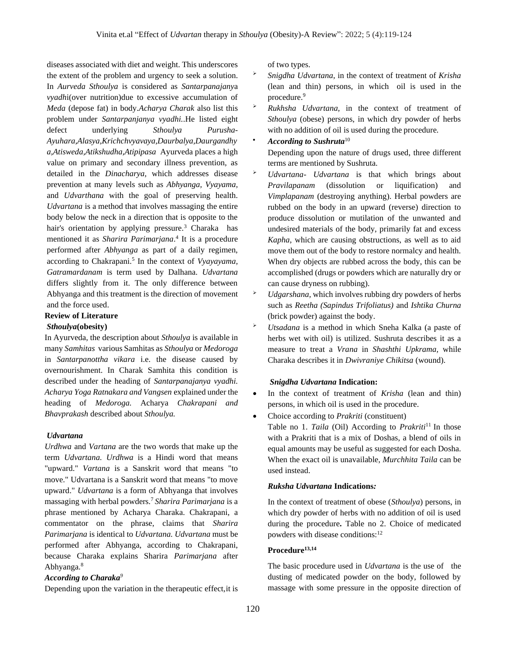diseases associated with diet and weight. This underscores the extent of the problem and urgency to seek a solution. In *Aurveda Sthoulya* is considered as *Santarpanajany*a *vyadh*i(over nutrition)due to excessive accumulation of *Meda* (depose fat) in body.*Acharya Charak* also list this problem under *Santarpanjanya vyadhi.*.He listed eight defect underlying *Sthoulya Purusha-Ayuhara,Alasya,Krichchvyavaya,Daurbalya,Daurgandhy a,Atisweda,Atikshudha,Atipipasa* Ayurveda places a high value on primary and secondary illness prevention, as detailed in the *Dinacharya,* which addresses disease prevention at many levels such as *Abhyanga, Vyayama,* and *Udvarthana* with the goal of preserving health. *Udvartana* is a method that involves massaging the entire body below the neck in a direction that is opposite to the hair's orientation by applying pressure.<sup>3</sup> Charaka has mentioned it as *Sharira Parimarjana*. 4 It is a procedure performed after *Abhyanga* as part of a daily regimen, according to Chakrapani.<sup>5</sup> In the context of *Vyayayama, Gatramardanam* is term used by Dalhana. *Udvartana*  differs slightly from it. The only difference between Abhyanga and this treatment is the direction of movement and the force used.

#### **Review of Literature**

#### *Sthoulya***(obesity)**

In Ayurveda, the description about *Sthoulya* is available in many *Samhitas* various Samhitas as *Sthoulya* or *Medoroga* in *Santarpanottha vikara* i.e. the disease caused by overnourishment. In Charak Samhita this condition is described under the heading of *Santarpanajanya vyadhi. Acharya Yoga Ratnakara and Vangsen* explained under the heading of *Medoroga.* Acharya *Chakrapani and Bhavprakash* described about *Sthoulya.*

#### *Udvartana*

*Urdhwa* and *Vartana* are the two words that make up the term *Udvartana. Urdhwa* is a Hindi word that means "upward." *Vartana* is a Sanskrit word that means "to move." Udvartana is a Sanskrit word that means "to move upward." *Udvartana* is a form of Abhyanga that involves massaging with herbal powders.<sup>7</sup>*Sharira Parimarjana* is a phrase mentioned by Acharya Charaka. Chakrapani, a commentator on the phrase, claims that *Sharira Parimarjana* is identical to *Udvartana. Udvartana* must be performed after Abhyanga, according to Chakrapani, because Charaka explains Sharira *Parimarjana* after Abhyanga.<sup>8</sup>

#### *According to Charaka<sup>9</sup>*

Depending upon the variation in the therapeutic effect,it is

of two types.

- ➢ *Snigdha Udvartana*, in the context of treatment of *Krisha* (lean and thin) persons, in which oil is used in the procedure.<sup>9</sup>
- ➢ *Rukhsha Udvartana,* in the context of treatment of *Sthoulya* (obese) persons, in which dry powder of herbs with no addition of oil is used during the procedure.
- *According to Sushruta*<sup>10</sup>

Depending upon the nature of drugs used, three different terms are mentioned by Sushruta.

- ➢ *Udvartana Udvartana* is that which brings about *Pravilapanam* (dissolution or liquification) and *Vimplapanam* (destroying anything). Herbal powders are rubbed on the body in an upward (reverse) direction to produce dissolution or mutilation of the unwanted and undesired materials of the body, primarily fat and excess *Kapha*, which are causing obstructions, as well as to aid move them out of the body to restore normalcy and health. When dry objects are rubbed across the body, this can be accomplished (drugs or powders which are naturally dry or can cause dryness on rubbing).
- ➢ *Udgarshana,* which involves rubbing dry powders of herbs such as *Reetha (Sapindus Trifoliatus)* and *Ishtika Churna* (brick powder) against the body.
- ➢ *Utsadana* is a method in which Sneha Kalka (a paste of herbs wet with oil) is utilized. Sushruta describes it as a measure to treat a *Vrana* in *Shashthi Upkrama,* while Charaka describes it in *Dwivraniye Chikitsa* (wound).

#### *Snigdha Udvartana* **Indication:**

- In the context of treatment of *Krisha* (lean and thin) persons, in which oil is used in the procedure.
- Choice according to *Prakriti* (constituent) Table no 1. *Taila* (Oil) According to *Prakriti*<sup>11</sup> In those with a Prakriti that is a mix of Doshas, a blend of oils in equal amounts may be useful as suggested for each Dosha. When the exact oil is unavailable, *Murchhita Taila* can be used instead.

#### *Ruksha Udvartana* **Indications***:*

In the context of treatment of obese (*Sthoulya*) persons, in which dry powder of herbs with no addition of oil is used during the procedure**.** Table no 2. Choice of medicated powders with disease conditions:<sup>12</sup>

#### **Procedure13,14**

The basic procedure used in *Udvartana* is the use of the dusting of medicated powder on the body, followed by massage with some pressure in the opposite direction of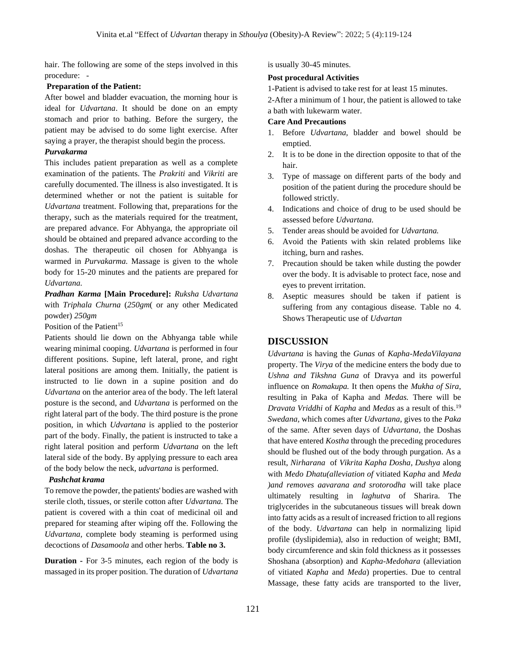hair. The following are some of the steps involved in this procedure: -

#### **Preparation of the Patient:**

After bowel and bladder evacuation, the morning hour is ideal for *Udvartana*. It should be done on an empty stomach and prior to bathing. Before the surgery, the patient may be advised to do some light exercise. After saying a prayer, the therapist should begin the process.

#### *Purvakarma*

This includes patient preparation as well as a complete examination of the patients. The *Prakriti* and *Vikriti* are carefully documented. The illness is also investigated. It is determined whether or not the patient is suitable for *Udvartana* treatment. Following that, preparations for the therapy, such as the materials required for the treatment, are prepared advance. For Abhyanga, the appropriate oil should be obtained and prepared advance according to the doshas. The therapeutic oil chosen for Abhyanga is warmed in *Purvakarma.* Massage is given to the whole body for 15-20 minutes and the patients are prepared for *Udvartana.*

*Pradhan Karma* **[Main Procedure]:** *Ruksha Udvartana* with *Triphala Churna* (*250gm*( or any other Medicated powder) *250gm*

Position of the Patient<sup>15</sup>

Patients should lie down on the Abhyanga table while wearing minimal cooping. *Udvartana* is performed in four different positions. Supine, left lateral, prone, and right lateral positions are among them. Initially, the patient is instructed to lie down in a supine position and do *Udvartana* on the anterior area of the body. The left lateral posture is the second, and *Udvartana* is performed on the right lateral part of the body. The third posture is the prone position, in which *Udvartana* is applied to the posterior part of the body. Finally, the patient is instructed to take a right lateral position and perform *Udvartana* on the left lateral side of the body. By applying pressure to each area of the body below the neck, *udvartana* is performed.

#### *Pashchat krama*

To remove the powder, the patients' bodies are washed with sterile cloth, tissues, or sterile cotton after *Udvartana.* The patient is covered with a thin coat of medicinal oil and prepared for steaming after wiping off the. Following the *Udvartana,* complete body steaming is performed using decoctions of *Dasamoola* and other herbs. **Table no 3.** 

**Duration -** For 3-5 minutes, each region of the body is massaged in its proper position. The duration of *Udvartana* is usually 30-45 minutes.

#### **Post procedural Activities**

1-Patient is advised to take rest for at least 15 minutes.

2-After a minimum of 1 hour, the patient is allowed to take a bath with lukewarm water.

#### **Care And Precautions**

- 1. Before *Udvartana,* bladder and bowel should be emptied.
- 2. It is to be done in the direction opposite to that of the hair.
- 3. Type of massage on different parts of the body and position of the patient during the procedure should be followed strictly.
- 4. Indications and choice of drug to be used should be assessed before *Udvartana.*
- 5. Tender areas should be avoided for *Udvartana.*
- 6. Avoid the Patients with skin related problems like itching, burn and rashes.
- 7. Precaution should be taken while dusting the powder over the body. It is advisable to protect face, nose and eyes to prevent irritation.
- 8. Aseptic measures should be taken if patient is suffering from any contagious disease. Table no 4. Shows Therapeutic use of *Udvartan*

## **DISCUSSION**

*Udvartana* is having the *Gunas* of *Kapha-MedaVilayana* property. The *Virya* of the medicine enters the body due to *Ushna and Tikshna Guna* of Dravya and its powerful influence on *Romakupa.* It then opens the *Mukha of Sira*, resulting in Paka of Kapha and *Medas.* There will be *Dravata Vriddhi* of *Kapha* and *Medas* as a result of this.<sup>19</sup> *Swedana,* which comes after *Udvartana,* gives to the *Paka* of the same. After seven days of *Udvartana,* the Doshas that have entered *Kostha* through the preceding procedures should be flushed out of the body through purgation. As a result, *Nirharana* of *Vikrita Kapha Dosha, Dushya* along with *Medo Dhatu(alleviation of* vitiated K*apha* and *Meda )and removes aavarana and srotorodha* will take place ultimately resulting in *laghutva* of Sharira. The triglycerides in the subcutaneous tissues will break down into fatty acids as a result of increased friction to all regions of the body. *Udvartana* can help in normalizing lipid profile (dyslipidemia), also in reduction of weight; BMI, body circumference and skin fold thickness as it possesses Shoshana (absorption) and *Kapha-Medohara* (alleviation of vitiated *Kapha* and *Meda*) properties. Due to central Massage, these fatty acids are transported to the liver,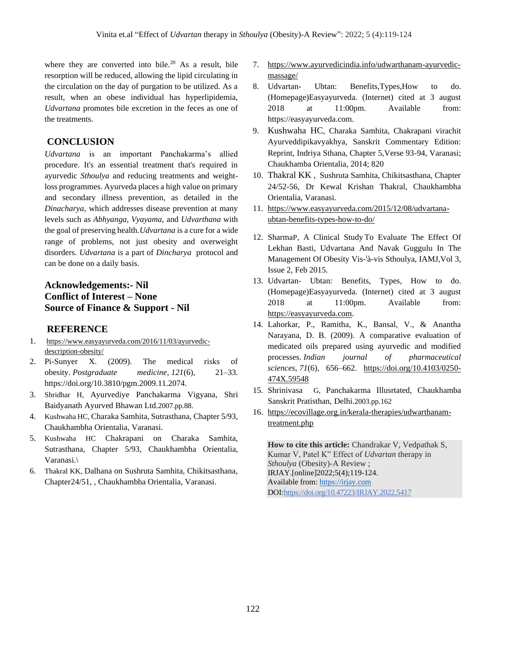where they are converted into bile. $20$  As a result, bile resorption will be reduced, allowing the lipid circulating in the circulation on the day of purgation to be utilized. As a result, when an obese individual has hyperlipidemia, *Udvartana* promotes bile excretion in the feces as one of the treatments.

#### **CONCLUSION**

*Udvartana* is an important Panchakarma's allied procedure. It's an essential treatment that's required in ayurvedic *Sthoulya* and reducing treatments and weightloss programmes. Ayurveda places a high value on primary and secondary illness prevention, as detailed in the *Dinacharya,* which addresses disease prevention at many levels such as *Abhyanga, Vyayama,* and *Udvarthana* with the goal of preserving health.*Udvartana* is a cure for a wide range of problems, not just obesity and overweight disorders. *Udvartana* is a part of *Dincharya* protocol and can be done on a daily basis.

# **Acknowledgements:- Nil Conflict of Interest – None Source of Finance & Support - Nil**

#### **REFERENCE**

- 1. [https://www.easyayurveda.com/2016/11/03/ayurvedic](https://www.easyayurveda.com/2016/11/03/ayurvedic-description-obesity/)[description-obesity/](https://www.easyayurveda.com/2016/11/03/ayurvedic-description-obesity/)
- 2. Pi-Sunyer X. (2009). The medical risks of obesity. *Postgraduate medicine*, *121*(6), 21–33. https://doi.org/10.3810/pgm.2009.11.2074.
- 3. Shridhar H, Ayurvediye Panchakarma Vigyana, Shri Baidyanath Ayurved Bhawan Ltd.2007.pp.88.
- 4. Kushwaha HC, Charaka Samhita, Sutrasthana, Chapter 5/93, Chaukhambha Orientalia, Varanasi.
- 5. Kushwaha HC Chakrapani on Charaka Samhita, Sutrasthana, Chapter 5/93, Chaukhambha Orientalia, Varanasi.\
- 6. Thakral KK, Dalhana on Sushruta Samhita, Chikitsasthana, Chapter24/51, , Chaukhambha Orientalia, Varanasi.
- 7. [https://www.ayurvedicindia.info/udwarthanam-ayurvedic](https://www.ayurvedicindia.info/udwarthanam-ayurvedic-massage/)[massage/](https://www.ayurvedicindia.info/udwarthanam-ayurvedic-massage/)
- 8. Udvartan- Ubtan: Benefits,Types,How to do. (Homepage)Easyayurveda. (Internet) cited at 3 august 2018 at 11:00pm. Available from: https://easyayurveda.com.
- 9. Kushwaha HC, Charaka Samhita, Chakrapani virachit Ayurveddipikavyakhya, Sanskrit Commentary Edition: Reprint, Indriya Sthana, Chapter 5,Verse 93-94, Varanasi; Chaukhamba Orientalia, 2014; 820
- 10. Thakral KK , Sushruta Samhita, Chikitsasthana, Chapter 24/52-56, Dr Kewal Krishan Thakral, Chaukhambha Orientalia, Varanasi.
- 11. [https://www.easyayurveda.com/2015/12/08/udvartana](https://www.easyayurveda.com/2015/12/08/udvartana-ubtan-benefits-types-how-to-do/)[ubtan-benefits-types-how-to-do/](https://www.easyayurveda.com/2015/12/08/udvartana-ubtan-benefits-types-how-to-do/)
- 12. SharmaP, A Clinical Study To Evaluate The Effect Of Lekhan Basti, Udvartana And Navak Guggulu In The Management Of Obesity Vis-ià-vis Sthoulya, IAMJ, Vol 3, Issue 2, Feb 2015.
- 13. Udvartan- Ubtan: Benefits, Types, How to do. (Homepage)Easyayurveda. (Internet) cited at 3 august 2018 at 11:00pm. Available from: [https://easyayurveda.com.](https://easyayurveda.com/)
- 14. Lahorkar, P., Ramitha, K., Bansal, V., & Anantha Narayana, D. B. (2009). A comparative evaluation of medicated oils prepared using ayurvedic and modified processes. *Indian journal of pharmaceutical sciences*, *71*(6), 656–662. [https://doi.org/10.4103/0250-](https://doi.org/10.4103/0250-474X.59548) [474X.59548](https://doi.org/10.4103/0250-474X.59548)
- 15. Shrinivasa G, Panchakarma Illusrtated, Chaukhamba Sanskrit Pratisthan, Delhi.2003.pp.162
- 16. [https://ecovillage.org.in/kerala-therapies/udwarthanam](https://ecovillage.org.in/kerala-therapies/udwarthanam-treatment.php)[treatment.php](https://ecovillage.org.in/kerala-therapies/udwarthanam-treatment.php)

**How to cite this article:** Chandrakar V, Vedpathak S, Kumar V, Patel K" Effect of *Udvartan* therapy in *Sthoulya* (Obesity)-A Review ; IRJAY.[online]2022;5(4);119-124. Available from: [https://irjay.com](https://irjay.com/) DOI:https://doi.org/10.47223/IRJAY.2022.5417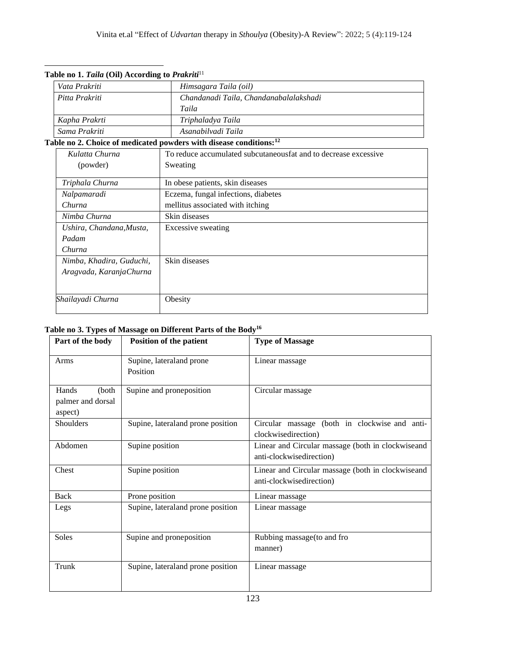| Vata Prakriti            | Himsagara Taila (oil)                                                          |  |  |
|--------------------------|--------------------------------------------------------------------------------|--|--|
| Pitta Prakriti           | Chandanadi Taila, Chandanabalalakshadi                                         |  |  |
|                          | Taila                                                                          |  |  |
| Kapha Prakrti            | Triphaladya Taila                                                              |  |  |
| Sama Prakriti            | Asanabilyadi Taila                                                             |  |  |
|                          | Table no 2. Choice of medicated powders with disease conditions: <sup>12</sup> |  |  |
| Kulatta Churna           | To reduce accumulated subcutaneous fat and to decrease excessive               |  |  |
| (powder)                 | Sweating                                                                       |  |  |
| Triphala Churna          | In obese patients, skin diseases                                               |  |  |
| Nalpamaradi              | Eczema, fungal infections, diabetes                                            |  |  |
| Churna                   | mellitus associated with itching                                               |  |  |
| Nimba Churna             | Skin diseases                                                                  |  |  |
| Ushira, Chandana, Musta, | <b>Excessive sweating</b>                                                      |  |  |
| Padam                    |                                                                                |  |  |
| Churna                   |                                                                                |  |  |
| Nimba, Khadira, Guduchi, | Skin diseases                                                                  |  |  |
| Aragvada, KaranjaChurna  |                                                                                |  |  |
|                          |                                                                                |  |  |
| Shailayadi Churna        | Obesity                                                                        |  |  |

#### **Table no 1.** *Taila* **(Oil) According to** *Prakriti*<sup>11</sup>

# **Table no 3. Types of Massage on Different Parts of the Body<sup>16</sup>**

| Part of the body                               | Position of the patient              | <b>Type of Massage</b>                                                        |
|------------------------------------------------|--------------------------------------|-------------------------------------------------------------------------------|
| Arms                                           | Supine, lateraland prone<br>Position | Linear massage                                                                |
| Hands<br>(both<br>palmer and dorsal<br>aspect) | Supine and proneposition             | Circular massage                                                              |
| Shoulders                                      | Supine, lateral and prone position   | Circular massage (both in clockwise and anti-<br>clockwisedirection)          |
| Abdomen                                        | Supine position                      | Linear and Circular massage (both in clockwiseand<br>anti-clockwisedirection) |
| Chest                                          | Supine position                      | Linear and Circular massage (both in clockwiseand<br>anti-clockwisedirection) |
| <b>Back</b>                                    | Prone position                       | Linear massage                                                                |
| Legs                                           | Supine, lateral and prone position   | Linear massage                                                                |
| Soles                                          | Supine and proneposition             | Rubbing massage (to and fro<br>manner)                                        |
| Trunk                                          | Supine, lateraland prone position    | Linear massage                                                                |